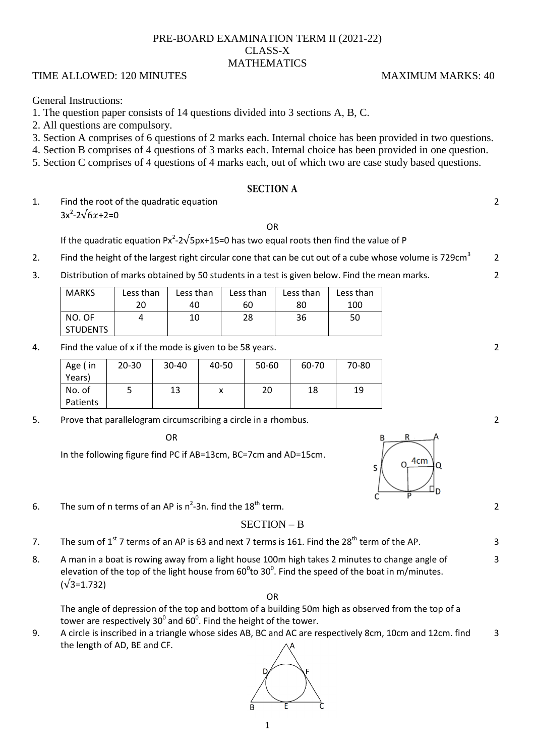## PRE-BOARD EXAMINATION TERM II (2021-22) CLASS-X MATHEMATICS

## TIME ALLOWED: 120 MINUTES MAXIMUM MARKS: 40

General Instructions:

# 1. The question paper consists of 14 questions divided into 3 sections A, B, C.

- 2. All questions are compulsory.
- 3. Section A comprises of 6 questions of 2 marks each. Internal choice has been provided in two questions.
- 4. Section B comprises of 4 questions of 3 marks each. Internal choice has been provided in one question.
- 5. Section C comprises of 4 questions of 4 marks each, out of which two are case study based questions.

### **SECTION A**

1. Find the root of the quadratic equation  $3x^2 - 2\sqrt{6x} + 2 = 0$ 

OR

If the quadratic equation Px<sup>2</sup>-2 $\sqrt{5}$ px+15=0 has two equal roots then find the value of P

- 2. Find the height of the largest right circular cone that can be cut out of a cube whose volume is 729cm<sup>3</sup> 2
- 3. Distribution of marks obtained by 50 students in a test is given below. Find the mean marks.

| MARKS    | Less than | Less than | Less than | Less than | Less than |  |
|----------|-----------|-----------|-----------|-----------|-----------|--|
|          | 20        | 40        | 60        | 80        | 100       |  |
| NO. OF   |           | 10        | 28        | 36        | 50        |  |
| STUDENTS |           |           |           |           |           |  |

4. Find the value of x if the mode is given to be 58 years.

| Age (in<br>Years)  | $20 - 30$ | $30 - 40$ | 40-50 | 50-60 | 60-70 | 70-80 |
|--------------------|-----------|-----------|-------|-------|-------|-------|
| No. of<br>Patients |           | 13        |       | 20    | 18    | 19    |

5. Prove that parallelogram circumscribing a circle in a rhombus.

**OR** Service Service Service Service Service Service Service Service Service Service Service Service Service Se

In the following figure find PC if AB=13cm, BC=7cm and AD=15cm.



3

### SECTION – B

- 7. The sum of  $1<sup>st</sup>$  7 terms of an AP is 63 and next 7 terms is 161. Find the 28<sup>th</sup> term of the AP.  $\overline{3}$
- 8. A man in a boat is rowing away from a light house 100m high takes 2 minutes to change angle of elevation of the top of the light house from  $60^0$ to 30<sup>0</sup>. Find the speed of the boat in m/minutes.  $(\sqrt{3}=1.732)$

The angle of depression of the top and bottom of a building 50m high as observed from the top of a tower are respectively 30<sup>0</sup> and 60<sup>0</sup>. Find the height of the tower.

OR

9. A circle is inscribed in a triangle whose sides AB, BC and AC are respectively 8cm, 10cm and 12cm. find the length of AD, BE and CF. 3



2

2

2

2